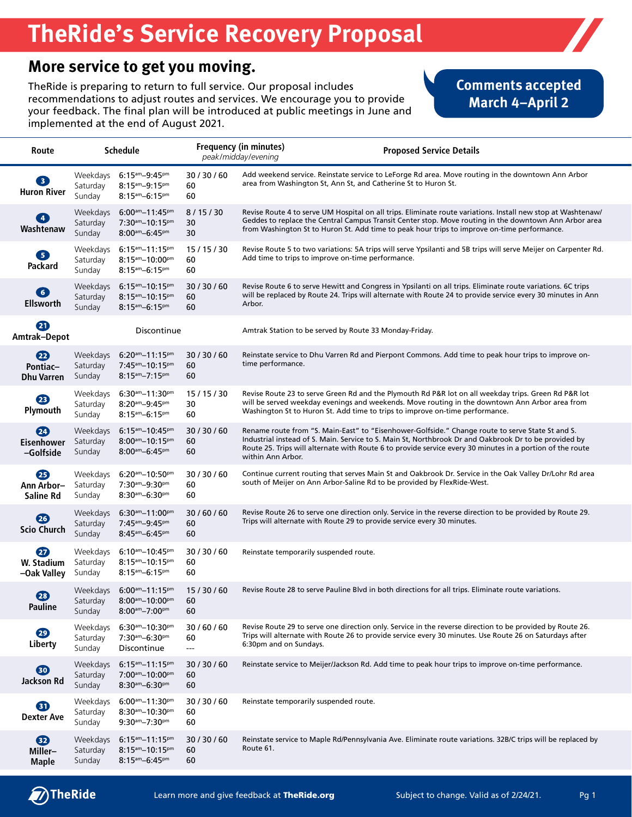# **TheRide's Service Recovery Proposal**

#### **More service to get you moving.**

TheRide is preparing to return to full service. Our proposal includes recommendations to adjust routes and services. We encourage you to provide your feedback. The final plan will be introduced at public meetings in June and implemented at the end of August 2021.

#### **Comments accepted March 4–April 2**

| Route                                                  | <b>Schedule</b>                |                                                                                                                                        |                                                            | <b>Frequency (in minutes)</b><br>peak/midday/evening | <b>Proposed Service Details</b>                                                                                                                                                                                                                                                                                        |
|--------------------------------------------------------|--------------------------------|----------------------------------------------------------------------------------------------------------------------------------------|------------------------------------------------------------|------------------------------------------------------|------------------------------------------------------------------------------------------------------------------------------------------------------------------------------------------------------------------------------------------------------------------------------------------------------------------------|
| 3<br><b>Huron River</b>                                | Weekdays<br>Saturday<br>Sunday | $6:15$ <sup>am</sup> $-9:45$ <sup>pm</sup><br>$8:15$ <sup>am</sup> $-9:15$ <sup>pm</sup><br>$8:15$ <sup>am</sup> -6:15 <sup>pm</sup>   | 30/30/60<br>60<br>60                                       |                                                      | Add weekend service. Reinstate service to LeForge Rd area. Move routing in the downtown Ann Arbor<br>area from Washington St, Ann St, and Catherine St to Huron St.                                                                                                                                                    |
| $\left( 4\right)$<br>Washtenaw                         | Weekdays<br>Saturday<br>Sunday | $6:00am-11:45pm$<br>$7:30$ <sup>am</sup> $-10:15$ <sup>pm</sup><br>$8:00$ <sup>am</sup> -6:45 <sup>pm</sup>                            | 8/15/30<br>30<br>30                                        |                                                      | Revise Route 4 to serve UM Hospital on all trips. Eliminate route variations. Install new stop at Washtenaw/<br>Geddes to replace the Central Campus Transit Center stop. Move routing in the downtown Ann Arbor area<br>from Washington St to Huron St. Add time to peak hour trips to improve on-time performance.   |
| 6<br>Packard                                           | Weekdays<br>Saturday<br>Sunday | $6:15$ <sup>am</sup> $-11:15$ <sup>pm</sup><br>$8:15$ <sup>am</sup> $-10:00$ <sup>pm</sup><br>$8:15$ <sup>am</sup> -6:15 <sup>pm</sup> | 15/15/30<br>60<br>60                                       |                                                      | Revise Route 5 to two variations: 5A trips will serve Ypsilanti and 5B trips will serve Meijer on Carpenter Rd.<br>Add time to trips to improve on-time performance.                                                                                                                                                   |
| 6<br><b>Ellsworth</b>                                  | Weekdays<br>Saturday<br>Sunday | $6:15$ <sup>am</sup> $-10:15$ <sup>pm</sup><br>$8:15$ <sup>am</sup> $-10:15$ <sup>pm</sup><br>$8:15$ <sup>am</sup> -6:15 <sup>pm</sup> | 30/30/60<br>60<br>60                                       | Arbor.                                               | Revise Route 6 to serve Hewitt and Congress in Ypsilanti on all trips. Eliminate route variations. 6C trips<br>will be replaced by Route 24. Trips will alternate with Route 24 to provide service every 30 minutes in Ann                                                                                             |
| Ø<br>Amtrak-Depot                                      |                                | Discontinue                                                                                                                            |                                                            |                                                      | Amtrak Station to be served by Route 33 Monday-Friday.                                                                                                                                                                                                                                                                 |
| $\boldsymbol{\Omega}$<br>Pontiac-<br><b>Dhu Varren</b> | Weekdays<br>Saturday<br>Sunday | $6:20$ <sup>am</sup> $-11:15$ <sup>pm</sup><br>$7:45$ <sup>am</sup> $-10:15$ <sup>pm</sup><br>$8:15^{am}-7:15^{pm}$                    | 30/30/60<br>60<br>60                                       | time performance.                                    | Reinstate service to Dhu Varren Rd and Pierpont Commons. Add time to peak hour trips to improve on-                                                                                                                                                                                                                    |
| 23<br>Plymouth                                         | Weekdays<br>Saturday<br>Sunday | $6:30$ <sup>am</sup> $-11:30$ <sup>pm</sup><br>$8:20$ <sup>am</sup> -9:45 <sup>pm</sup><br>$8:15$ <sup>am</sup> -6:15 <sup>pm</sup>    | 15/15/30<br>30<br>60                                       |                                                      | Revise Route 23 to serve Green Rd and the Plymouth Rd P&R lot on all weekday trips. Green Rd P&R lot<br>will be served weekday evenings and weekends. Move routing in the downtown Ann Arbor area from<br>Washington St to Huron St. Add time to trips to improve on-time performance.                                 |
| 20<br><b>Eisenhower</b><br>-Golfside                   | Weekdays<br>Saturday<br>Sunday | $6:15$ <sub>am</sub> $-10:45$ <sub>pm</sub><br>$8:00^{am} - 10:15^{pm}$<br>$8:00^{am}-6:45^{pm}$                                       | 30/30/60<br>60<br>60                                       | within Ann Arbor.                                    | Rename route from "S. Main-East" to "Eisenhower-Golfside." Change route to serve State St and S.<br>Industrial instead of S. Main. Service to S. Main St, Northbrook Dr and Oakbrook Dr to be provided by<br>Route 25. Trips will alternate with Route 6 to provide service every 30 minutes in a portion of the route |
| Ø<br>Ann Arbor-<br>Saline Rd                           | Weekdays<br>Saturday<br>Sunday | $6:20$ <sup>am</sup> $-10:50$ <sup>pm</sup><br>$7:30$ <sup>am</sup> $-9:30$ <sup>pm</sup><br>$8:30$ <sup>am</sup> -6:30 <sup>pm</sup>  | 30/30/60<br>60<br>60                                       |                                                      | Continue current routing that serves Main St and Oakbrook Dr. Service in the Oak Valley Dr/Lohr Rd area<br>south of Meijer on Ann Arbor-Saline Rd to be provided by FlexRide-West.                                                                                                                                     |
| 26<br>Scio Church                                      | Weekdays<br>Saturday<br>Sunday | $6:30$ <sup>am</sup> $-11:00$ <sup>pm</sup><br>$7:45$ <sup>am</sup> $-9:45$ <sup>pm</sup><br>$8:45$ <sup>am</sup> -6:45 <sup>pm</sup>  | 30/60/60<br>60<br>60                                       |                                                      | Revise Route 26 to serve one direction only. Service in the reverse direction to be provided by Route 29.<br>Trips will alternate with Route 29 to provide service every 30 minutes.                                                                                                                                   |
| $\boldsymbol{\varpi}$<br>W. Stadium<br>-Oak Valley     | Weekdays<br>Saturday<br>Sunday | $6:10^{am} - 10:45^{pm}$<br>$8:15$ <sub>am</sub> $-10:15$ <sub>pm</sub><br>$8:15$ <sup>am</sup> -6:15 <sup>pm</sup>                    | 30/30/60<br>60<br>60                                       | Reinstate temporarily suspended route.               |                                                                                                                                                                                                                                                                                                                        |
| 23<br>Pauline                                          | Weekdays<br>Saturday<br>Sunday | $6:00^{am} - 11:15^{pm}$<br>$8:00$ <sup>am</sup> $-10:00$ <sup>pm</sup><br>$8:00$ <sup>am</sup> $-7:00$ <sup>pm</sup>                  | 15/30/60<br>60<br>60                                       |                                                      | Revise Route 28 to serve Pauline Blvd in both directions for all trips. Eliminate route variations.                                                                                                                                                                                                                    |
| 29<br>Liberty                                          | Weekdays<br>Saturday<br>Sunday | $6:30$ <sup>am</sup> $-10:30$ <sup>pm</sup><br>$7:30$ <sup>am</sup> $-6:30$ <sup>pm</sup><br>Discontinue                               | 30/60/60<br>60<br>$\hspace{0.05cm} \ldots \hspace{0.05cm}$ | 6:30pm and on Sundays.                               | Revise Route 29 to serve one direction only. Service in the reverse direction to be provided by Route 26.<br>Trips will alternate with Route 26 to provide service every 30 minutes. Use Route 26 on Saturdays after                                                                                                   |
| 80<br>Jackson Rd                                       | Weekdays<br>Saturday<br>Sunday | $6:15^{am}-11:15^{pm}$<br>$7:00$ <sup>am</sup> $-10:00$ <sup>pm</sup><br>$8:30$ <sup>am</sup> -6:30 <sup>pm</sup>                      | 30/30/60<br>60<br>60                                       |                                                      | Reinstate service to Meijer/Jackson Rd. Add time to peak hour trips to improve on-time performance.                                                                                                                                                                                                                    |
| 60<br><b>Dexter Ave</b>                                | Weekdays<br>Saturday<br>Sunday | $6:00^{am} - 11:30^{pm}$<br>$8:30$ <sup>am</sup> $-10:30$ <sup>pm</sup><br>$9:30$ <sup>am</sup> $-7:30$ <sup>pm</sup>                  | 30/30/60<br>60<br>60                                       | Reinstate temporarily suspended route.               |                                                                                                                                                                                                                                                                                                                        |
| $\mathbf{D}$<br>Miller-<br><b>Maple</b>                | Weekdays<br>Saturday<br>Sunday | $6:15am-11:15pm$<br>$8:15$ <sup>am</sup> $-10:15$ <sup>pm</sup><br>$8:15$ <sup>am</sup> -6:45 <sup>pm</sup>                            | 30/30/60<br>60<br>60                                       | Route 61.                                            | Reinstate service to Maple Rd/Pennsylvania Ave. Eliminate route variations. 32B/C trips will be replaced by                                                                                                                                                                                                            |

(7) The Ride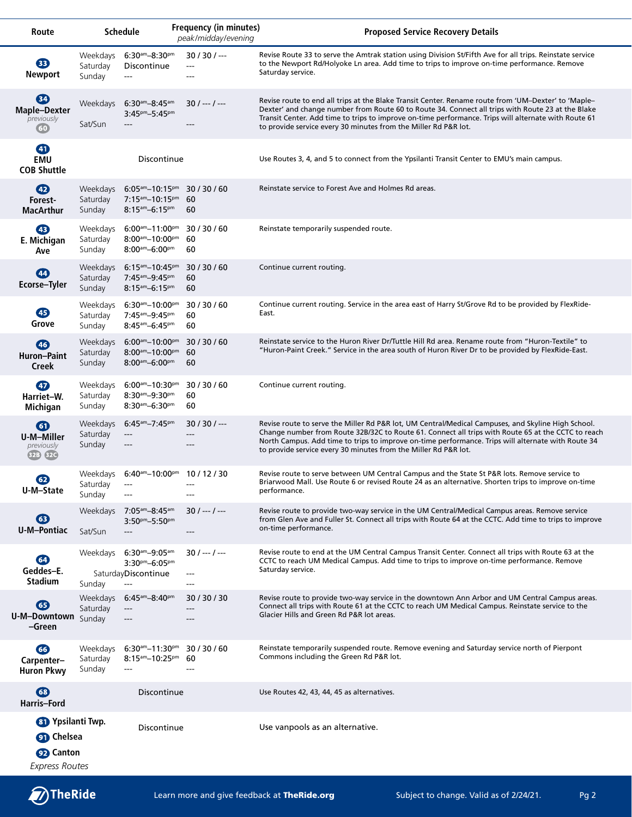| Route                                                                               |                                | <b>Schedule</b>                                                                                                                        | <b>Frequency (in minutes)</b><br>peak/midday/evening | <b>Proposed Service Recovery Details</b>                                                                                                                                                                                                                                                                                                                                            |
|-------------------------------------------------------------------------------------|--------------------------------|----------------------------------------------------------------------------------------------------------------------------------------|------------------------------------------------------|-------------------------------------------------------------------------------------------------------------------------------------------------------------------------------------------------------------------------------------------------------------------------------------------------------------------------------------------------------------------------------------|
| ®<br><b>Newport</b>                                                                 | Weekdays<br>Saturday<br>Sunday | $6:30$ <sup>am</sup> $-8:30$ <sup>pm</sup><br>Discontinue<br>$---$                                                                     | $30/30/$ ---<br>---<br>---                           | Revise Route 33 to serve the Amtrak station using Division St/Fifth Ave for all trips. Reinstate service<br>to the Newport Rd/Holyoke Ln area. Add time to trips to improve on-time performance. Remove<br>Saturday service.                                                                                                                                                        |
| 64<br><b>Maple-Dexter</b><br>previously<br>(60)                                     | Weekdays<br>Sat/Sun            | $6:30$ <sup>am</sup> $-8:45$ <sup>am</sup><br>$3:45^{pm}-5:45^{pm}$<br>$---$                                                           | $30/$ --- / ---<br>$---$                             | Revise route to end all trips at the Blake Transit Center. Rename route from 'UM-Dexter' to 'Maple-<br>Dexter' and change number from Route 60 to Route 34. Connect all trips with Route 23 at the Blake<br>Transit Center. Add time to trips to improve on-time performance. Trips will alternate with Route 61<br>to provide service every 30 minutes from the Miller Rd P&R lot. |
| 40<br><b>EMU</b><br><b>COB Shuttle</b>                                              |                                | Discontinue                                                                                                                            |                                                      | Use Routes 3, 4, and 5 to connect from the Ypsilanti Transit Center to EMU's main campus.                                                                                                                                                                                                                                                                                           |
| $\bigoplus$<br>Forest-<br><b>MacArthur</b>                                          | Weekdays<br>Saturday<br>Sunday | $6:05$ <sup>am</sup> $-10:15$ <sup>pm</sup><br>$7:15$ <sup>am</sup> $-10:15$ <sup>pm</sup><br>$8:15$ <sup>am</sup> -6:15 <sup>pm</sup> | 30/30/60<br>60<br>60                                 | Reinstate service to Forest Ave and Holmes Rd areas.                                                                                                                                                                                                                                                                                                                                |
| 43<br>E. Michigan<br>Ave                                                            | Weekdays<br>Saturday<br>Sunday | $6:00am-11:00pm$<br>$8:00$ <sup>am</sup> $-10:00$ <sup>pm</sup><br>$8:00$ <sup>am</sup> -6:00 <sup>pm</sup>                            | 30/30/60<br>60<br>60                                 | Reinstate temporarily suspended route.                                                                                                                                                                                                                                                                                                                                              |
| (44)<br><b>Ecorse-Tyler</b>                                                         | Weekdays<br>Saturday<br>Sunday | $6:15$ <sup>am</sup> $-10:45$ <sup>pm</sup><br>$7:45$ <sup>am</sup> $-9:45$ <sup>pm</sup><br>$8:15^{am}-6:15^{pm}$                     | 30/30/60<br>60<br>60                                 | Continue current routing.                                                                                                                                                                                                                                                                                                                                                           |
| ⊕<br>Grove                                                                          | Weekdays<br>Saturday<br>Sunday | $6:30$ <sup>am</sup> $-10:00$ <sup>pm</sup><br>$7:45$ <sup>am</sup> $-9:45$ <sup>pm</sup><br>$8:45$ <sup>am</sup> -6:45 <sup>pm</sup>  | 30/30/60<br>60<br>60                                 | Continue current routing. Service in the area east of Harry St/Grove Rd to be provided by FlexRide-<br>East.                                                                                                                                                                                                                                                                        |
| 46<br>Huron-Paint<br><b>Creek</b>                                                   | Weekdays<br>Saturday<br>Sunday | $6:00$ <sup>am</sup> $-10:00$ <sup>pm</sup><br>$8:00$ <sup>am</sup> $-10:00$ <sup>pm</sup><br>$8:00^{am}-6:00^{pm}$                    | 30/30/60<br>60<br>60                                 | Reinstate service to the Huron River Dr/Tuttle Hill Rd area. Rename route from "Huron-Textile" to<br>"Huron-Paint Creek." Service in the area south of Huron River Dr to be provided by FlexRide-East.                                                                                                                                                                              |
| $\bigoplus$<br>Harriet-W.<br>Michigan                                               | Weekdays<br>Saturday<br>Sunday | $6:00$ <sup>am</sup> $-10:30$ <sup>pm</sup><br>$8:30$ <sup>am</sup> $-9:30$ <sup>pm</sup><br>$8:30$ <sup>am</sup> -6:30 <sup>pm</sup>  | 30/30/60<br>60<br>60                                 | Continue current routing.                                                                                                                                                                                                                                                                                                                                                           |
| $\bigcirc$<br>U-M-Miller<br>previously<br>32B 32C                                   | Weekdays<br>Saturday<br>Sunday | $6:45$ <sup>am</sup> $-7:45$ <sup>pm</sup><br>$---$<br>---                                                                             | $30/30/$ ---<br>---<br>---                           | Revise route to serve the Miller Rd P&R lot, UM Central/Medical Campuses, and Skyline High School.<br>Change number from Route 32B/32C to Route 61. Connect all trips with Route 65 at the CCTC to reach<br>North Campus. Add time to trips to improve on-time performance. Trips will alternate with Route 34<br>to provide service every 30 minutes from the Miller Rd P&R lot.   |
| 62<br>U-M-State                                                                     | Saturday ---<br>Sunday         | Weekdays 6:40am-10:00pm 10 / 12 / 30<br>---                                                                                            | ---                                                  | Revise route to serve between UM Central Campus and the State St P&R lots. Remove service to<br>Briarwood Mall. Use Route 6 or revised Route 24 as an alternative. Shorten trips to improve on-time<br>performance.                                                                                                                                                                 |
| 63<br><b>U-M-Pontiac</b>                                                            | Sat/Sun                        | Weekdays 7:05am-8:45am<br>$3:50^{pm}-5:50^{pm}$<br>$\qquad \qquad - -$                                                                 | $30/---/---$<br>$---$                                | Revise route to provide two-way service in the UM Central/Medical Campus areas. Remove service<br>from Glen Ave and Fuller St. Connect all trips with Route 64 at the CCTC. Add time to trips to improve<br>on-time performance.                                                                                                                                                    |
| 64<br>Geddes-E.<br><b>Stadium</b>                                                   | Weekdays<br>Sunday             | $6:30$ <sup>am</sup> $-9:05$ <sup>am</sup><br>$3:30^{pm}-6:05^{pm}$<br>SaturdayDiscontinue<br>$\qquad \qquad - -$                      | $30/$ --- $/$ ---<br>$---$<br>$---$                  | Revise route to end at the UM Central Campus Transit Center. Connect all trips with Route 63 at the<br>CCTC to reach UM Medical Campus. Add time to trips to improve on-time performance. Remove<br>Saturday service.                                                                                                                                                               |
| 65<br>U-M-Downtown Sunday<br>-Green                                                 | Weekdays<br>Saturday           | $6:45$ <sup>am</sup> $-8:40$ <sup>pm</sup><br>$---$<br>---                                                                             | 30/30/30                                             | Revise route to provide two-way service in the downtown Ann Arbor and UM Central Campus areas.<br>Connect all trips with Route 61 at the CCTC to reach UM Medical Campus. Reinstate service to the<br>Glacier Hills and Green Rd P&R lot areas.                                                                                                                                     |
| 66<br>Carpenter-<br><b>Huron Pkwy</b>                                               | Weekdays<br>Saturday<br>Sunday | $6:30$ <sup>am</sup> $-11:30$ <sup>pm</sup><br>$8:15$ <sup>am</sup> -10:25 <sup>pm</sup> 60<br>$---$                                   | 30/30/60<br>---                                      | Reinstate temporarily suspended route. Remove evening and Saturday service north of Pierpont<br>Commons including the Green Rd P&R lot.                                                                                                                                                                                                                                             |
| 63<br>Harris-Ford                                                                   |                                | Discontinue                                                                                                                            |                                                      | Use Routes 42, 43, 44, 45 as alternatives.                                                                                                                                                                                                                                                                                                                                          |
| 81 Ypsilanti Twp.<br><b>On</b> Chelsea<br><b>92</b> Canton<br><b>Express Routes</b> |                                | Discontinue                                                                                                                            |                                                      | Use vanpools as an alternative.                                                                                                                                                                                                                                                                                                                                                     |

TheRide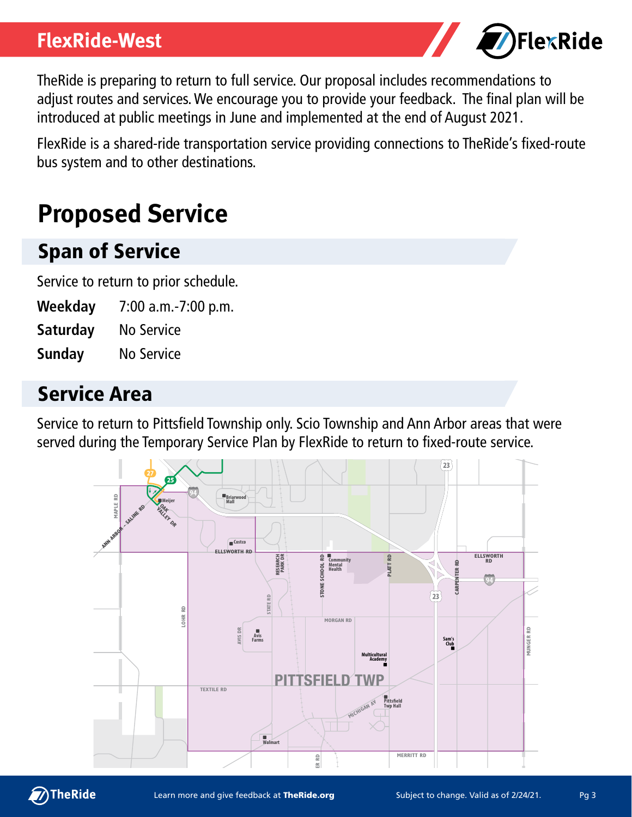#### **FlexRide-West**



TheRide is preparing to return to full service. Our proposal includes recommendations to adjust routes and services. We encourage you to provide your feedback. The final plan will be introduced at public meetings in June and implemented at the end of August 2021.

FlexRide is a shared-ride transportation service providing connections to TheRide's fixed-route bus system and to other destinations.

# **Proposed Service**

### Span of Service

Service to return to prior schedule.

- **Weekday** 7:00 a.m.-7:00 p.m.
- **Saturday** No Service
- **Sunday** No Service

#### Service Area

Service to return to Pittsfield Township only. Scio Township and Ann Arbor areas that were served during the Temporary Service Plan by FlexRide to return to fixed-route service.



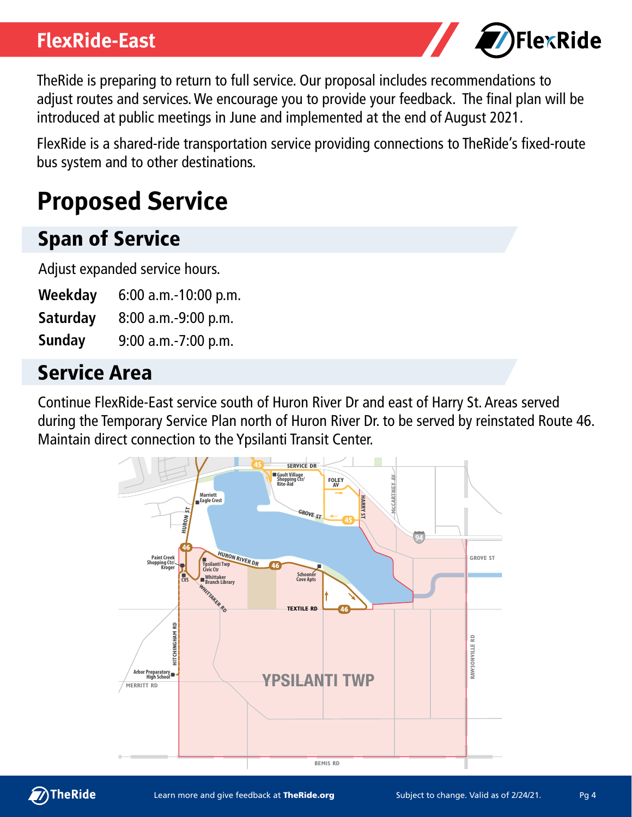#### **FlexRide-East**



TheRide is preparing to return to full service. Our proposal includes recommendations to adjust routes and services. We encourage you to provide your feedback. The final plan will be introduced at public meetings in June and implemented at the end of August 2021.

FlexRide is a shared-ride transportation service providing connections to TheRide's fixed-route bus system and to other destinations.

# **Proposed Service**

## Span of Service

Adjust expanded service hours.

- **Weekday** 6:00 a.m.-10:00 p.m.
- **Saturday** 8:00 a.m.-9:00 p.m.
- **Sunday** 9:00 a.m.-7:00 p.m.

### Service Area

Continue FlexRide-East service south of Huron River Dr and east of Harry St. Areas served during the Temporary Service Plan north of Huron River Dr. to be served by reinstated Route 46. Maintain direct connection to the Ypsilanti Transit Center.



 $\bigcirc$ TheRide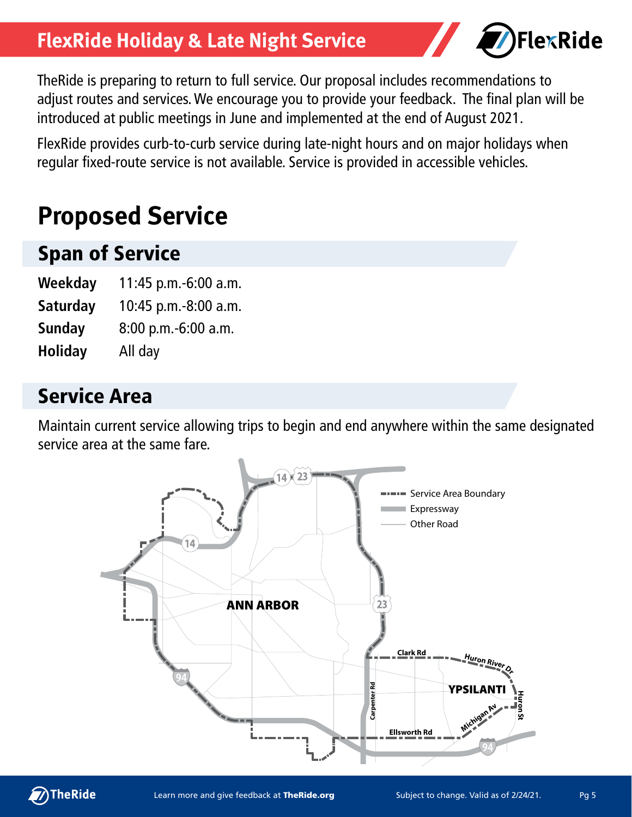## **FlexRide Holiday & Late Night Service**



TheRide is preparing to return to full service. Our proposal includes recommendations to adjust routes and services. We encourage you to provide your feedback. The final plan will be introduced at public meetings in June and implemented at the end of August 2021.

FlexRide provides curb-to-curb service during late-night hours and on major holidays when regular fixed-route service is not available. Service is provided in accessible vehicles.

# **Proposed Service**

### Span of Service

- **Weekday** 11:45 p.m.-6:00 a.m.
- **Saturday** 10:45 p.m.-8:00 a.m.
- **Sunday** 8:00 p.m.-6:00 a.m.
- **Holiday** All day

### Service Area

Maintain current service allowing trips to begin and end anywhere within the same designated service area at the same fare.



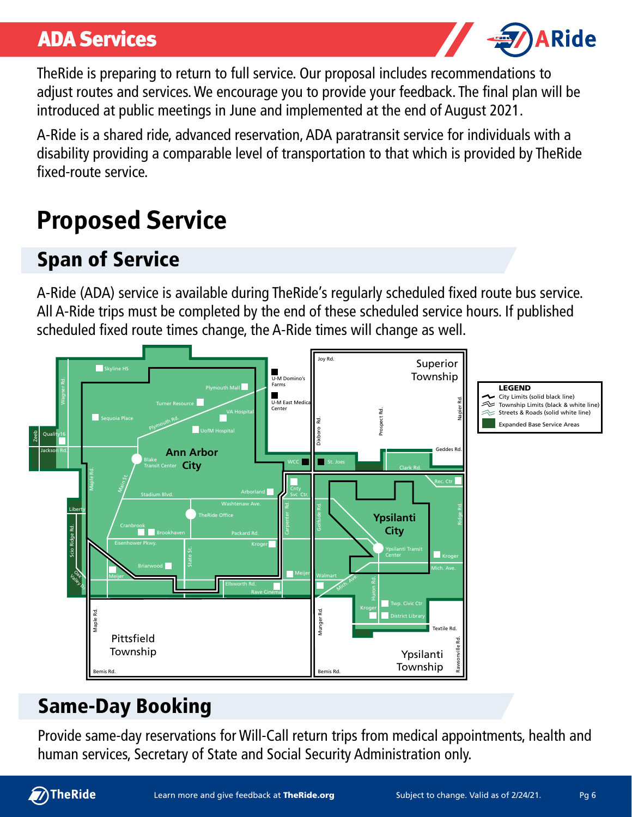### ADA Services



TheRide is preparing to return to full service. Our proposal includes recommendations to adjust routes and services. We encourage you to provide your feedback. The final plan will be introduced at public meetings in June and implemented at the end of August 2021.

A-Ride is a shared ride, advanced reservation, ADA paratransit service for individuals with a disability providing a comparable level of transportation to that which is provided by TheRide fixed-route service.

# **Proposed Service**

# Span of Service

A-Ride (ADA) service is available during TheRide's regularly scheduled fixed route bus service. All A-Ride trips must be completed by the end of these scheduled service hours. If published scheduled fixed route times change, the A-Ride times will change as well.



# Same-Day Booking

Provide same-day reservations for Will-Call return trips from medical appointments, health and human services, Secretary of State and Social Security Administration only.

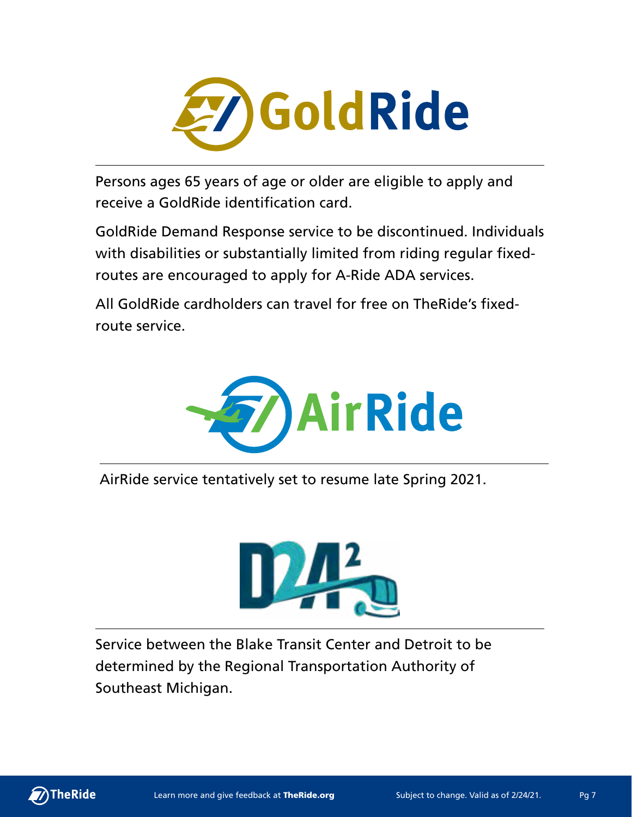

Persons ages 65 years of age or older are eligible to apply and receive a GoldRide identification card.

GoldRide Demand Response service to be discontinued. Individuals with disabilities or substantially limited from riding regular fixedroutes are encouraged to apply for A-Ride ADA services.

All GoldRide cardholders can travel for free on TheRide's fixedroute service.



AirRide service tentatively set to resume late Spring 2021.



Service between the Blake Transit Center and Detroit to be determined by the Regional Transportation Authority of Southeast Michigan.